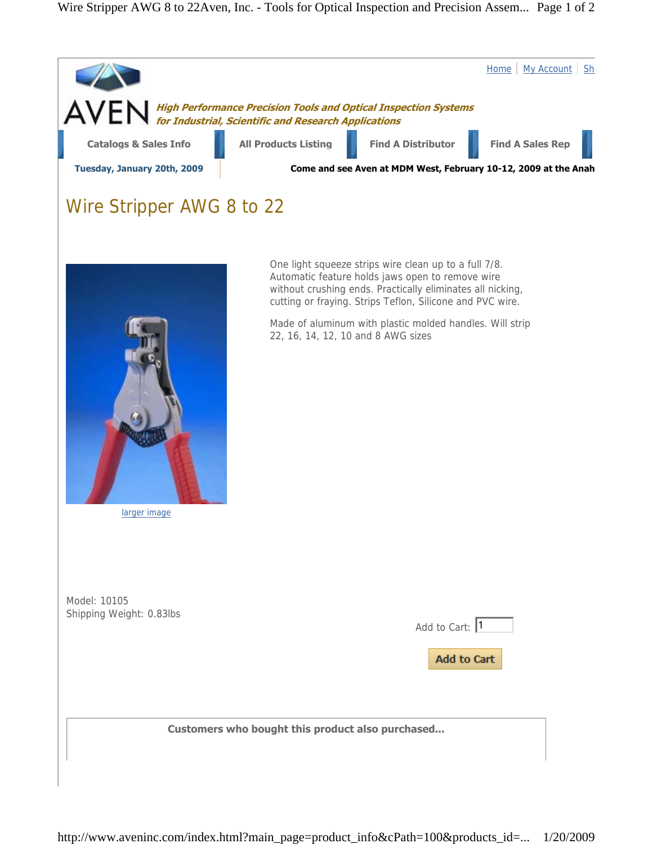## Wire Stripper AWG 8 to 22Aven, Inc. - Tools for Optical Inspection and Precision Assem... Page 1 of 2



larger image

Model: 10105 Shipping Weight: 0.83lbs

| Add to Cart: 1     |  |
|--------------------|--|
|                    |  |
| <b>Add to Cart</b> |  |

**Customers who bought this product also purchased...**